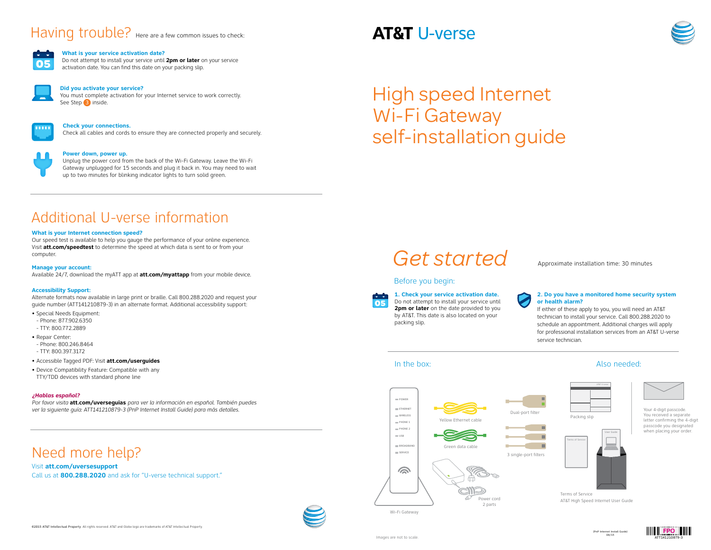## In the box:

## Before you begin:

**1. Check your service activation date.** Do not attempt to install your service until **2pm or later** on the date provided to you by AT&T. This date is also located on your packing slip.



### **2. Do you have a monitored home security system or health alarm?**



If either of these apply to you, you will need an AT&T technician to install your service. Call 800.288.2020 to schedule an appointment. Additional charges will apply for professional installation services from an AT&T U-verse service technician.

## Need more help?

#### Visit **att.com/uversesupport**

Call us at **800.288.2020** and ask for "U-verse technical support."





#### **Check your connections.**

Check all cables and cords to ensure they are connected properly and securely.



#### **Power down, power up.**

Unplug the power cord from the back of the Wi-Fi Gateway. Leave the Wi-Fi Gateway unplugged for 15 seconds and plug it back in. You may need to wait up to two minutes for blinking indicator lights to turn solid green.

You must complete activation for your Internet service to work correctly. See Step 3 inside.



## Additional U-verse information

#### **What is your Internet connection speed?**

Our speed test is available to help you gauge the performance of your online experience. Visit **att.com/speedtest** to determine the speed at which data is sent to or from your computer.

#### **Manage your account:**

Available 24/7, download the myATT app at **att.com/myattapp** from your mobile device.

#### **Accessibility Support:**

Alternate formats now available in large print or braille. Call 800.288.2020 and request your guide number (ATT141210879-3) in an alternate format. Additional accessibility support:

- Special Needs Equipment:
- Phone: 877.902.6350
- TTY: 800.772.2889
- Repair Center:
- Phone: 800.246.8464
- TTY: 800.397.3172
- Accessible Tagged PDF: Visit **att.com/userguides**
- Device Compatibility Feature: Compatible with any TTY/TDD devices with standard phone line

#### *¿Hablas español?*

*Por favor visita* **att.com/uverseguias** *para ver la información en español*. *También puedes ver la siguiente guía: ATT141210879-3 (PnP Internet Install Guide) para más detalles.*

# Having trouble? Here are a few common issues to check:



#### **What is your service activation date?**

Do not attempt to install your service until **2pm or later** on your service activation date. You can find this date on your packing slip.



#### **Did you activate your service?**

Your 4-digit passcode. You received a separate letter confirming the 4-digit passcode you designated when placing your order.

Also needed:

Terms of Service AT&T High Speed Internet User Guide







Wi-Fi Gateway

## **AT&T U-verse**





# High speed Internet Wi-Fi Gateway self-installation guide

Get started Approximate installation time: 30 minutes